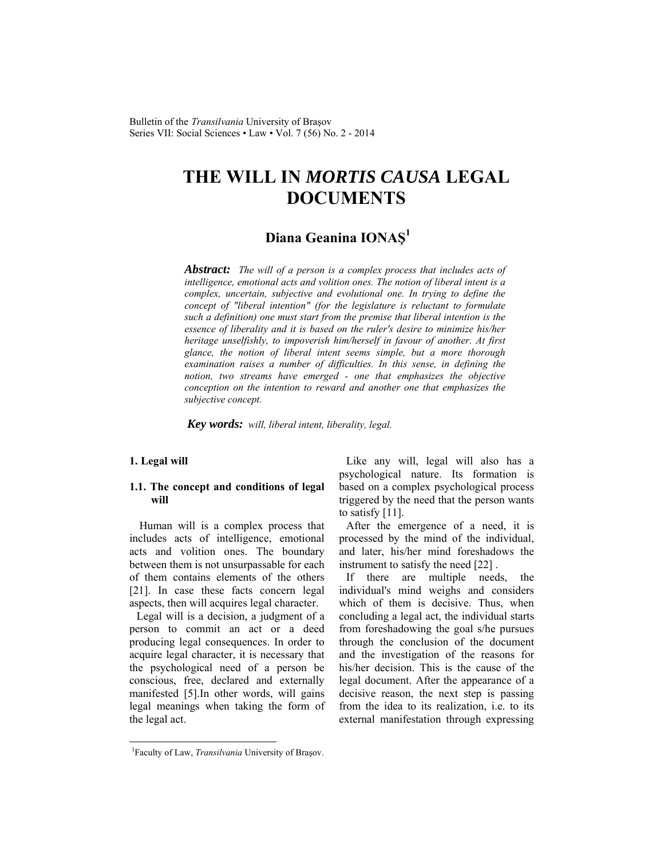Bulletin of the *Transilvania* University of Braşov Series VII: Social Sciences • Law • Vol. 7 (56) No. 2 - 2014

# **THE WILL IN** *MORTIS CAUSA* **LEGAL DOCUMENTS**

# **Diana Geanina IONAŞ<sup>1</sup>**

*Abstract: The will of a person is a complex process that includes acts of intelligence, emotional acts and volition ones. The notion of liberal intent is a complex, uncertain, subjective and evolutional one. In trying to define the concept of "liberal intention" (for the legislature is reluctant to formulate such a definition) one must start from the premise that liberal intention is the essence of liberality and it is based on the ruler's desire to minimize his/her heritage unselfishly, to impoverish him/herself in favour of another. At first glance, the notion of liberal intent seems simple, but a more thorough*  examination raises a number of difficulties. In this sense, in defining the *notion, two streams have emerged - one that emphasizes the objective conception on the intention to reward and another one that emphasizes the subjective concept.* 

*Key words: will, liberal intent, liberality, legal.*

## **1. Legal will**

l

#### **1.1. The concept and conditions of legal will**

 Human will is a complex process that includes acts of intelligence, emotional acts and volition ones. The boundary between them is not unsurpassable for each of them contains elements of the others [21]. In case these facts concern legal aspects, then will acquires legal character.

Legal will is a decision, a judgment of a person to commit an act or a deed producing legal consequences. In order to acquire legal character, it is necessary that the psychological need of a person be conscious, free, declared and externally manifested [5].In other words, will gains legal meanings when taking the form of the legal act.

Like any will, legal will also has a psychological nature. Its formation is based on a complex psychological process triggered by the need that the person wants to satisfy [11].

After the emergence of a need, it is processed by the mind of the individual, and later, his/her mind foreshadows the instrument to satisfy the need [22] .

If there are multiple needs, the individual's mind weighs and considers which of them is decisive. Thus, when concluding a legal act, the individual starts from foreshadowing the goal s/he pursues through the conclusion of the document and the investigation of the reasons for his/her decision. This is the cause of the legal document. After the appearance of a decisive reason, the next step is passing from the idea to its realization, i.e. to its external manifestation through expressing

<sup>&</sup>lt;sup>1</sup>Faculty of Law, *Transilvania* University of Brașov.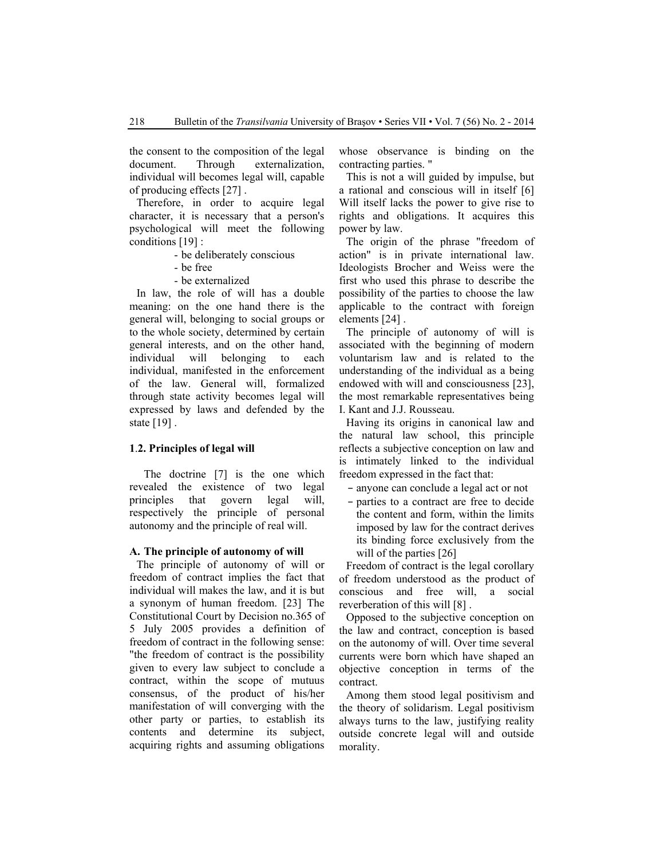the consent to the composition of the legal document. Through externalization, individual will becomes legal will, capable of producing effects [27] .

Therefore, in order to acquire legal character, it is necessary that a person's psychological will meet the following conditions [19] :

- be deliberately conscious
- be free
- be externalized

In law, the role of will has a double meaning: on the one hand there is the general will, belonging to social groups or to the whole society, determined by certain general interests, and on the other hand, individual will belonging to each individual, manifested in the enforcement of the law. General will, formalized through state activity becomes legal will expressed by laws and defended by the state [19] .

#### **1**.**2. Principles of legal will**

The doctrine [7] is the one which revealed the existence of two legal principles that govern legal will, respectively the principle of personal autonomy and the principle of real will.

#### **A. The principle of autonomy of will**

The principle of autonomy of will or freedom of contract implies the fact that individual will makes the law, and it is but a synonym of human freedom. [23] The Constitutional Court by Decision no.365 of 5 July 2005 provides a definition of freedom of contract in the following sense: "the freedom of contract is the possibility given to every law subject to conclude a contract, within the scope of mutuus consensus, of the product of his/her manifestation of will converging with the other party or parties, to establish its contents and determine its subject, acquiring rights and assuming obligations

whose observance is binding on the contracting parties. "

This is not a will guided by impulse, but a rational and conscious will in itself [6] Will itself lacks the power to give rise to rights and obligations. It acquires this power by law.

The origin of the phrase "freedom of action" is in private international law. Ideologists Brocher and Weiss were the first who used this phrase to describe the possibility of the parties to choose the law applicable to the contract with foreign elements [24] .

The principle of autonomy of will is associated with the beginning of modern voluntarism law and is related to the understanding of the individual as a being endowed with will and consciousness [23], the most remarkable representatives being I. Kant and J.J. Rousseau.

Having its origins in canonical law and the natural law school, this principle reflects a subjective conception on law and is intimately linked to the individual freedom expressed in the fact that:

- anyone can conclude a legal act or not
- parties to a contract are free to decide the content and form, within the limits imposed by law for the contract derives its binding force exclusively from the will of the parties [26]

Freedom of contract is the legal corollary of freedom understood as the product of conscious and free will, a social reverberation of this will [8] .

Opposed to the subjective conception on the law and contract, conception is based on the autonomy of will. Over time several currents were born which have shaped an objective conception in terms of the contract.

Among them stood legal positivism and the theory of solidarism. Legal positivism always turns to the law, justifying reality outside concrete legal will and outside morality.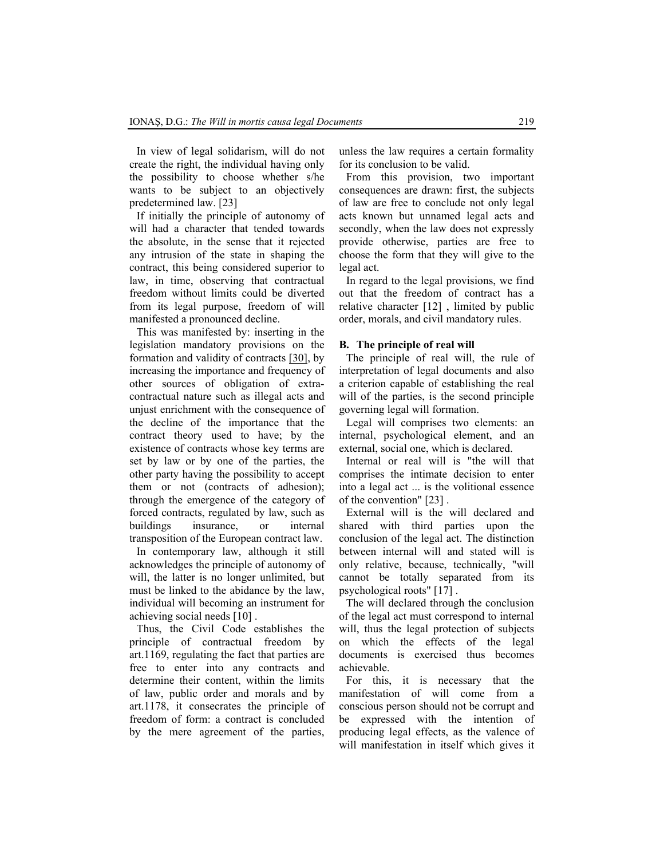In view of legal solidarism, will do not create the right, the individual having only the possibility to choose whether s/he wants to be subject to an objectively predetermined law. [23]

If initially the principle of autonomy of will had a character that tended towards the absolute, in the sense that it rejected any intrusion of the state in shaping the contract, this being considered superior to law, in time, observing that contractual freedom without limits could be diverted from its legal purpose, freedom of will manifested a pronounced decline.

This was manifested by: inserting in the legislation mandatory provisions on the formation and validity of contracts [30], by increasing the importance and frequency of other sources of obligation of extracontractual nature such as illegal acts and unjust enrichment with the consequence of the decline of the importance that the contract theory used to have; by the existence of contracts whose key terms are set by law or by one of the parties, the other party having the possibility to accept them or not (contracts of adhesion); through the emergence of the category of forced contracts, regulated by law, such as buildings insurance, or internal transposition of the European contract law.

In contemporary law, although it still acknowledges the principle of autonomy of will, the latter is no longer unlimited, but must be linked to the abidance by the law, individual will becoming an instrument for achieving social needs [10] .

Thus, the Civil Code establishes the principle of contractual freedom by art.1169, regulating the fact that parties are free to enter into any contracts and determine their content, within the limits of law, public order and morals and by art.1178, it consecrates the principle of freedom of form: a contract is concluded by the mere agreement of the parties,

unless the law requires a certain formality for its conclusion to be valid.

From this provision, two important consequences are drawn: first, the subjects of law are free to conclude not only legal acts known but unnamed legal acts and secondly, when the law does not expressly provide otherwise, parties are free to choose the form that they will give to the legal act.

In regard to the legal provisions, we find out that the freedom of contract has a relative character [12] , limited by public order, morals, and civil mandatory rules.

#### **B. The principle of real will**

The principle of real will, the rule of interpretation of legal documents and also a criterion capable of establishing the real will of the parties, is the second principle governing legal will formation.

Legal will comprises two elements: an internal, psychological element, and an external, social one, which is declared.

Internal or real will is "the will that comprises the intimate decision to enter into a legal act ... is the volitional essence of the convention" [23] .

External will is the will declared and shared with third parties upon the conclusion of the legal act. The distinction between internal will and stated will is only relative, because, technically, "will cannot be totally separated from its psychological roots" [17] .

The will declared through the conclusion of the legal act must correspond to internal will, thus the legal protection of subjects on which the effects of the legal documents is exercised thus becomes achievable.

For this, it is necessary that the manifestation of will come from a conscious person should not be corrupt and be expressed with the intention of producing legal effects, as the valence of will manifestation in itself which gives it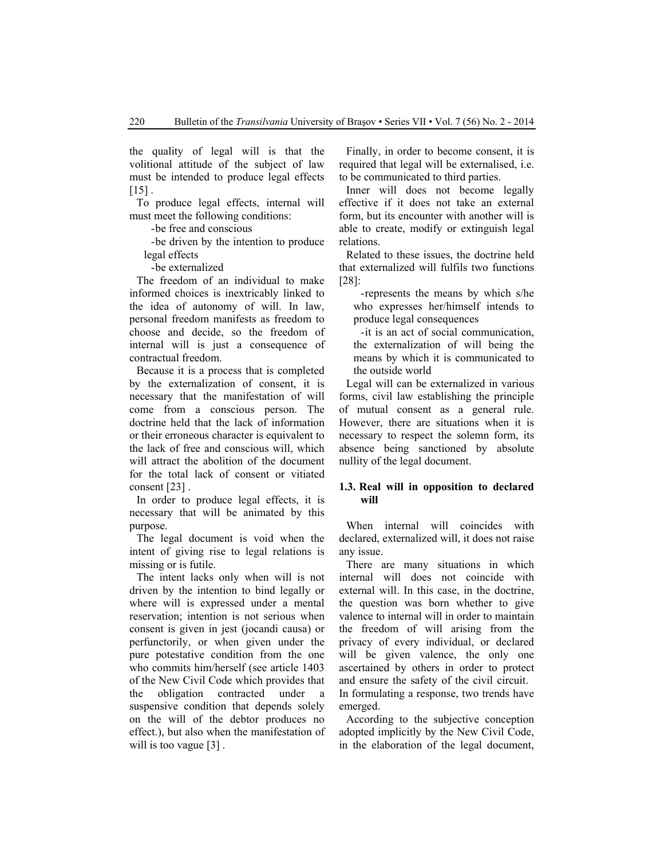the quality of legal will is that the volitional attitude of the subject of law must be intended to produce legal effects  $[15]$ .

To produce legal effects, internal will must meet the following conditions:

-be free and conscious

-be driven by the intention to produce legal effects

-be externalized

The freedom of an individual to make informed choices is inextricably linked to the idea of autonomy of will. In law, personal freedom manifests as freedom to choose and decide, so the freedom of internal will is just a consequence of contractual freedom.

Because it is a process that is completed by the externalization of consent, it is necessary that the manifestation of will come from a conscious person. The doctrine held that the lack of information or their erroneous character is equivalent to the lack of free and conscious will, which will attract the abolition of the document for the total lack of consent or vitiated consent [23] .

In order to produce legal effects, it is necessary that will be animated by this purpose.

The legal document is void when the intent of giving rise to legal relations is missing or is futile.

The intent lacks only when will is not driven by the intention to bind legally or where will is expressed under a mental reservation; intention is not serious when consent is given in jest (jocandi causa) or perfunctorily, or when given under the pure potestative condition from the one who commits him/herself (see article 1403 of the New Civil Code which provides that the obligation contracted under a suspensive condition that depends solely on the will of the debtor produces no effect.), but also when the manifestation of will is too vague [3].

Finally, in order to become consent, it is required that legal will be externalised, i.e. to be communicated to third parties.

Inner will does not become legally effective if it does not take an external form, but its encounter with another will is able to create, modify or extinguish legal relations.

Related to these issues, the doctrine held that externalized will fulfils two functions [28]:

-represents the means by which s/he who expresses her/himself intends to produce legal consequences

-it is an act of social communication, the externalization of will being the means by which it is communicated to the outside world

Legal will can be externalized in various forms, civil law establishing the principle of mutual consent as a general rule. However, there are situations when it is necessary to respect the solemn form, its absence being sanctioned by absolute nullity of the legal document.

#### **1.3. Real will in opposition to declared will**

When internal will coincides with declared, externalized will, it does not raise any issue.

There are many situations in which internal will does not coincide with external will. In this case, in the doctrine, the question was born whether to give valence to internal will in order to maintain the freedom of will arising from the privacy of every individual, or declared will be given valence, the only one ascertained by others in order to protect and ensure the safety of the civil circuit. In formulating a response, two trends have emerged.

According to the subjective conception adopted implicitly by the New Civil Code, in the elaboration of the legal document,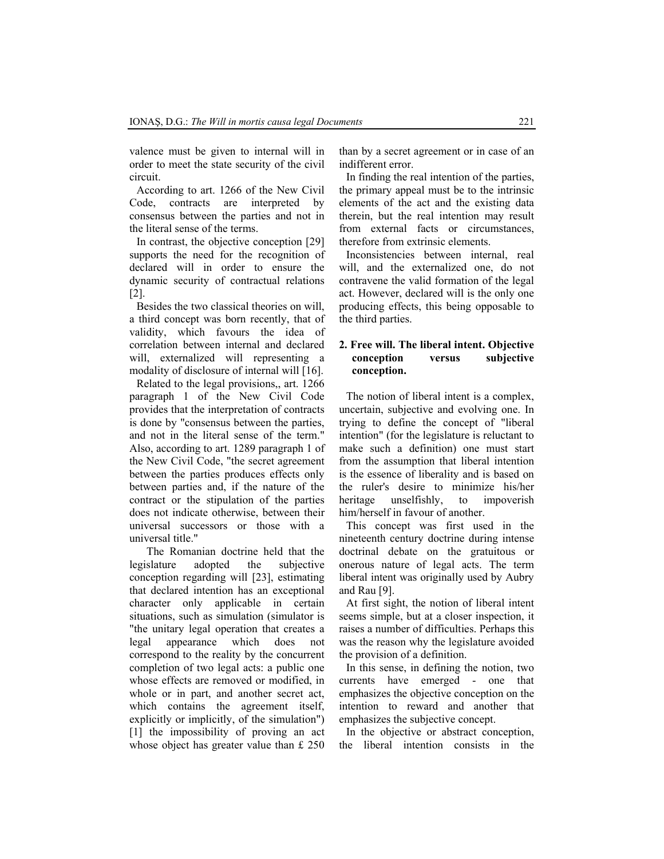valence must be given to internal will in order to meet the state security of the civil circuit.

According to art. 1266 of the New Civil Code, contracts are interpreted by consensus between the parties and not in the literal sense of the terms.

In contrast, the objective conception [29] supports the need for the recognition of declared will in order to ensure the dynamic security of contractual relations [2].

Besides the two classical theories on will, a third concept was born recently, that of validity, which favours the idea of correlation between internal and declared will, externalized will representing a modality of disclosure of internal will [16].

Related to the legal provisions,, art. 1266 paragraph 1 of the New Civil Code provides that the interpretation of contracts is done by "consensus between the parties, and not in the literal sense of the term." Also, according to art. 1289 paragraph 1 of the New Civil Code, "the secret agreement between the parties produces effects only between parties and, if the nature of the contract or the stipulation of the parties does not indicate otherwise, between their universal successors or those with a universal title."

 The Romanian doctrine held that the legislature adopted the subjective conception regarding will [23], estimating that declared intention has an exceptional character only applicable in certain situations, such as simulation (simulator is "the unitary legal operation that creates a legal appearance which does not correspond to the reality by the concurrent completion of two legal acts: a public one whose effects are removed or modified, in whole or in part, and another secret act, which contains the agreement itself, explicitly or implicitly, of the simulation") [1] the impossibility of proving an act whose object has greater value than £ 250 than by a secret agreement or in case of an indifferent error.

In finding the real intention of the parties, the primary appeal must be to the intrinsic elements of the act and the existing data therein, but the real intention may result from external facts or circumstances, therefore from extrinsic elements.

Inconsistencies between internal, real will, and the externalized one, do not contravene the valid formation of the legal act. However, declared will is the only one producing effects, this being opposable to the third parties.

## **2. Free will. The liberal intent. Objective conception versus subjective conception.**

The notion of liberal intent is a complex, uncertain, subjective and evolving one. In trying to define the concept of "liberal intention" (for the legislature is reluctant to make such a definition) one must start from the assumption that liberal intention is the essence of liberality and is based on the ruler's desire to minimize his/her heritage unselfishly, to impoverish him/herself in favour of another.

This concept was first used in the nineteenth century doctrine during intense doctrinal debate on the gratuitous or onerous nature of legal acts. The term liberal intent was originally used by Aubry and Rau [9].

At first sight, the notion of liberal intent seems simple, but at a closer inspection, it raises a number of difficulties. Perhaps this was the reason why the legislature avoided the provision of a definition.

In this sense, in defining the notion, two currents have emerged - one that emphasizes the objective conception on the intention to reward and another that emphasizes the subjective concept.

In the objective or abstract conception, the liberal intention consists in the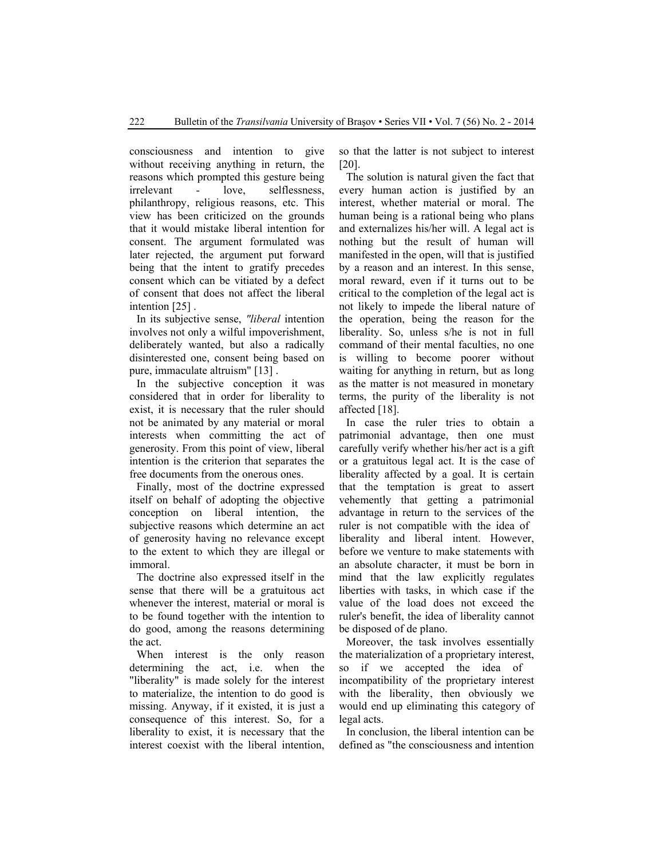consciousness and intention to give without receiving anything in return, the reasons which prompted this gesture being irrelevant - love, selflessness, philanthropy, religious reasons, etc. This view has been criticized on the grounds that it would mistake liberal intention for consent. The argument formulated was later rejected, the argument put forward being that the intent to gratify precedes consent which can be vitiated by a defect of consent that does not affect the liberal intention [25] .

In its subjective sense, *"liberal* intention involves not only a wilful impoverishment, deliberately wanted, but also a radically disinterested one, consent being based on pure, immaculate altruism" [13] .

In the subjective conception it was considered that in order for liberality to exist, it is necessary that the ruler should not be animated by any material or moral interests when committing the act of generosity. From this point of view, liberal intention is the criterion that separates the free documents from the onerous ones.

Finally, most of the doctrine expressed itself on behalf of adopting the objective conception on liberal intention, the subjective reasons which determine an act of generosity having no relevance except to the extent to which they are illegal or immoral.

The doctrine also expressed itself in the sense that there will be a gratuitous act whenever the interest, material or moral is to be found together with the intention to do good, among the reasons determining the act.

When interest is the only reason determining the act, i.e. when the "liberality" is made solely for the interest to materialize, the intention to do good is missing. Anyway, if it existed, it is just a consequence of this interest. So, for a liberality to exist, it is necessary that the interest coexist with the liberal intention,

so that the latter is not subject to interest [20].

The solution is natural given the fact that every human action is justified by an interest, whether material or moral. The human being is a rational being who plans and externalizes his/her will. A legal act is nothing but the result of human will manifested in the open, will that is justified by a reason and an interest. In this sense, moral reward, even if it turns out to be critical to the completion of the legal act is not likely to impede the liberal nature of the operation, being the reason for the liberality. So, unless s/he is not in full command of their mental faculties, no one is willing to become poorer without waiting for anything in return, but as long as the matter is not measured in monetary terms, the purity of the liberality is not affected [18].

In case the ruler tries to obtain a patrimonial advantage, then one must carefully verify whether his/her act is a gift or a gratuitous legal act. It is the case of liberality affected by a goal. It is certain that the temptation is great to assert vehemently that getting a patrimonial advantage in return to the services of the ruler is not compatible with the idea of liberality and liberal intent. However, before we venture to make statements with an absolute character, it must be born in mind that the law explicitly regulates liberties with tasks, in which case if the value of the load does not exceed the ruler's benefit, the idea of liberality cannot be disposed of de plano.

Moreover, the task involves essentially the materialization of a proprietary interest, so if we accepted the idea of incompatibility of the proprietary interest with the liberality, then obviously we would end up eliminating this category of legal acts.

In conclusion, the liberal intention can be defined as "the consciousness and intention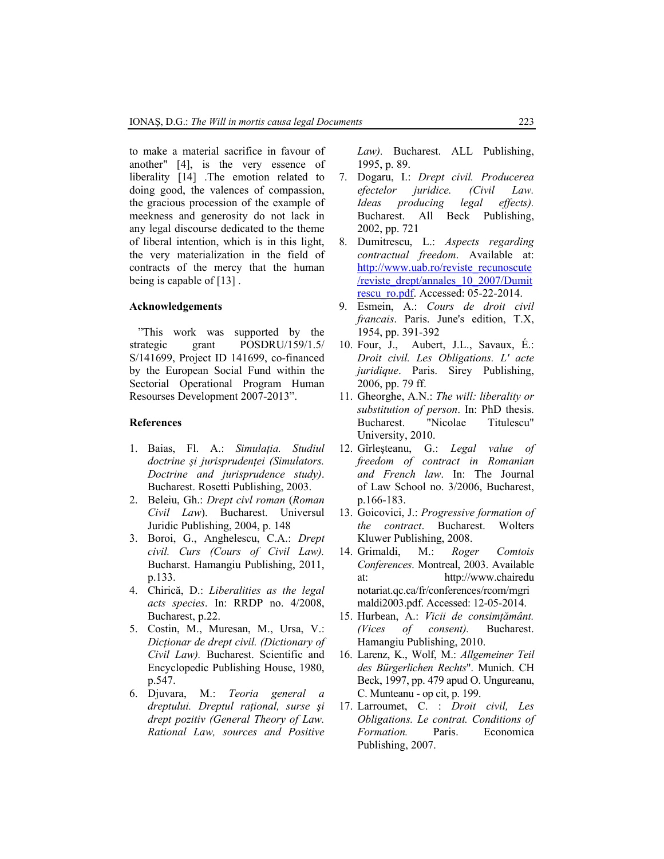to make a material sacrifice in favour of another" [4], is the very essence of liberality [14] .The emotion related to doing good, the valences of compassion, the gracious procession of the example of meekness and generosity do not lack in any legal discourse dedicated to the theme of liberal intention, which is in this light, the very materialization in the field of contracts of the mercy that the human being is capable of [13] .

#### **Acknowledgements**

"This work was supported by the strategic grant POSDRU/159/1.5/ S/141699, Project ID 141699, co-financed by the European Social Fund within the Sectorial Operational Program Human Resourses Development 2007-2013".

#### **References**

- 1. Baias, Fl. A.: *Simulaţia. Studiul doctrine şi jurisprudenţei (Simulators. Doctrine and jurisprudence study)*. Bucharest. Rosetti Publishing, 2003.
- 2. Beleiu, Gh.: *Drept civl roman* (*Roman Civil Law*). Bucharest. Universul Juridic Publishing, 2004, p. 148
- 3. Boroi, G., Anghelescu, C.A.: *Drept civil. Curs (Cours of Civil Law).* Bucharst. Hamangiu Publishing, 2011, p.133.
- 4. Chirică, D.: *Liberalities as the legal acts species*. In: RRDP no. 4/2008, Bucharest, p.22.
- 5. Costin, M., Muresan, M., Ursa, V.: *Dicţionar de drept civil. (Dictionary of Civil Law).* Bucharest. Scientific and Encyclopedic Publishing House, 1980, p.547.
- 6. Djuvara, M.: *Teoria general a dreptului. Dreptul raţional, surse şi drept pozitiv (General Theory of Law. Rational Law, sources and Positive*

*Law).* Bucharest. ALL Publishing, 1995, p. 89.

- 7. Dogaru, I.: *Drept civil. Producerea efectelor juridice. (Civil Law. Ideas producing legal effects).* Bucharest. All Beck Publishing, 2002, pp. 721
- 8. Dumitrescu, L.: *Aspects regarding contractual freedom*. Available at: http://www.uab.ro/reviste\_recunoscute /reviste\_drept/annales\_10\_2007/Dumit rescu\_ro.pdf. Accessed: 05-22-2014.
- 9. Esmein, A.: *Cours de droit civil francais*. Paris. June's edition, T.X, 1954, pp. 391-392
- 10. Four, J., Aubert, J.L., Savaux, É.: *Droit civil. Les Obligations. L' acte juridique*. Paris. Sirey Publishing, 2006, pp. 79 ff.
- 11. Gheorghe, A.N.: *The will: liberality or substitution of person*. In: PhD thesis. Bucharest. "Nicolae Titulescu" University, 2010.
- 12. Gîrleşteanu, G.: *Legal value of freedom of contract in Romanian and French law*. In: The Journal of Law School no. 3/2006, Bucharest, p.166-183.
- 13. Goicovici, J.: *Progressive formation of the contract*. Bucharest. Wolters Kluwer Publishing, 2008.
- 14. Grimaldi, M.: *Roger Comtois Conferences*. Montreal, 2003. Available at: http://www.chairedu notariat.qc.ca/fr/conferences/rcom/mgri maldi2003.pdf. Accessed: 12-05-2014.
- 15. Hurbean, A.: *Vicii de consimţământ. (Vices of consent).* Bucharest. Hamangiu Publishing, 2010.
- 16. Larenz, K., Wolf, M.: *Allgemeiner Teil des Bürgerlichen Rechts*". Munich. CH Beck, 1997, pp. 479 apud O. Ungureanu, C. Munteanu - op cit, p. 199.
- 17. Larroumet, C. : *Droit civil, Les Obligations. Le contrat. Conditions of Formation.* Paris. Economica Publishing, 2007.